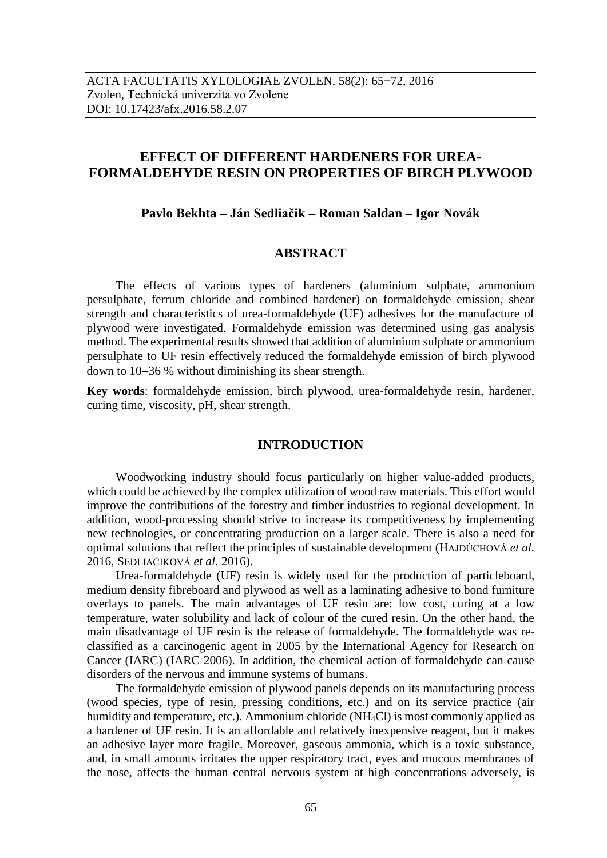# **EFFECT OF DIFFERENT HARDENERS FOR UREA-FORMALDEHYDE RESIN ON PROPERTIES OF BIRCH PLYWOOD**

**Pavlo Веkhta – Ján Sedliačik – Roman Saldan – Igor Novák**

# **ABSTRACT**

The effects of various types of hardeners (aluminium sulphate, ammonium persulphate, ferrum chloride and combined hardener) on formaldehyde emission, shear strength and characteristics of urea-formaldehyde (UF) adhesives for the manufacture of plywood were investigated. Formaldehyde emission was determined using gas analysis method. The experimental results showed that addition of aluminium sulphate or ammonium persulphate to UF resin effectively reduced the formaldehyde emission of birch plywood down to  $10-36$  % without diminishing its shear strength.

**Key words**: formaldehyde emission, birch plywood, urea-formaldehyde resin, hardener, curing time, viscosity, pH, shear strength.

## **INTRODUCTION**

Woodworking industry should focus particularly on higher value-added products, which could be achieved by the complex utilization of wood raw materials. This effort would improve the contributions of the forestry and timber industries to regional development. In addition, wood-processing should strive to increase its competitiveness by implementing new technologies, or concentrating production on a larger scale. There is also a need for optimal solutions that reflect the principles of sustainable development (HAJDÚCHOVÁ *et al.* 2016, SEDLIAČIKOVÁ *et al.* 2016).

Urea-formaldehyde (UF) resin is widely used for the production of particleboard, medium density fibreboard and plywood as well as a laminating adhesive to bond furniture overlays to panels. The main advantages of UF resin are: low cost, curing at a low temperature, water solubility and lack of colour of the cured resin. On the other hand, the main disadvantage of UF resin is the release of formaldehyde. The formaldehyde was reclassified as a carcinogenic agent in 2005 by the International Agency for Research on Cancer (IARC) (IARC 2006). In addition, the chemical action of formaldehyde can cause disorders of the nervous and immune systems of humans.

The formaldehyde emission of plywood panels depends on its manufacturing process (wood species, type of resin, pressing conditions, etc.) and on its service practice (air humidity and temperature, etc.). Ammonium chloride (NH<sub>4</sub>Cl) is most commonly applied as a hardener of UF resin. It is an affordable and relatively inexpensive reagent, but it makes an adhesive layer more fragile. Moreover, gaseous ammonia, which is a toxic substance, and, in small amounts irritates the upper respiratory tract, eyes and mucous membranes of the nose, affects the human central nervous system at high concentrations adversely, is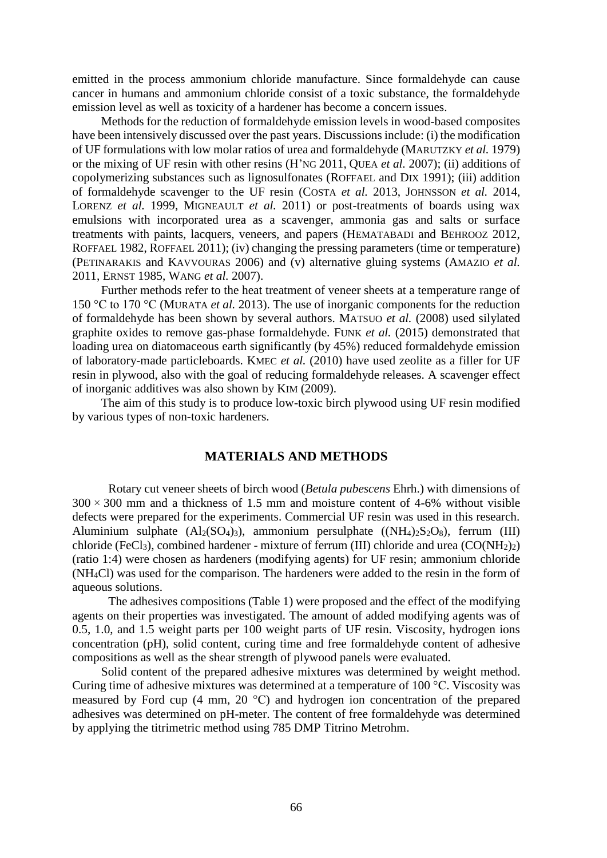emitted in the process ammonium chloride manufacture. Since formaldehyde can cause cancer in humans and ammonium chloride consist of a toxic substance, the formaldehyde emission level as well as toxicity of a hardener has become a concern issues.

Methods for the reduction of formaldehyde emission levels in wood-based composites have been intensively discussed over the past years. Discussions include: (i) the modification of UF formulations with low molar ratios of urea and formaldehyde (MARUTZKY *et al.* 1979) or the mixing of UF resin with other resins (H'NG 2011, QUEA *et al.* 2007); (ii) additions of copolymerizing substances such as lignosulfonates (ROFFAEL and DIX 1991); (iii) addition of formaldehyde scavenger to the UF resin (COSTA *et al.* 2013, JOHNSSON *et al.* 2014, LORENZ *et al.* 1999, MIGNEAULT *et al.* 2011) or post-treatments of boards using wax emulsions with incorporated urea as a scavenger, ammonia gas and salts or surface treatments with paints, lacquers, veneers, and papers (HEMATABADI and BEHROOZ 2012, ROFFAEL 1982, ROFFAEL 2011); (iv) changing the pressing parameters (time or temperature) (PETINARAKIS and KAVVOURAS 2006) and (v) alternative gluing systems (AMAZIO *et al.* 2011, ERNST 1985, WANG *et al.* 2007).

Further methods refer to the heat treatment of veneer sheets at a temperature range of 150 °C to 170 °C (MURATA *et al.* 2013). The use of inorganic components for the reduction of formaldehyde has been shown by several authors. MATSUO *et al.* (2008) used silylated graphite oxides to remove gas-phase formaldehyde. FUNK *et al.* (2015) demonstrated that loading urea on diatomaceous earth significantly (by 45%) reduced formaldehyde emission of laboratory-made particleboards. KMEC *et al.* (2010) have used zeolite as a filler for UF resin in plywood, also with the goal of reducing formaldehyde releases. A scavenger effect of inorganic additives was also shown by KIM (2009).

The aim of this study is to produce low-toxic birch plywood using UF resin modified by various types of non-toxic hardeners.

# **MATERIALS AND METHODS**

Rotary cut veneer sheets of birch wood (*Betula pubescens* Ehrh.) with dimensions of  $300 \times 300$  mm and a thickness of 1.5 mm and moisture content of 4-6% without visible defects were prepared for the experiments. Commercial UF resin was used in this research. Aluminium sulphate  $(Al_2(SO_4)3)$ , ammonium persulphate  $((NH_4)_2S_2O_8)$ , ferrum (III) chloride (FeCl<sub>3</sub>), combined hardener - mixture of ferrum (III) chloride and urea (CO(NH<sub>2</sub>)<sub>2</sub>) (ratio 1:4) were chosen as hardeners (modifying agents) for UF resin; ammonium chloride (NH4Cl) was used for the comparison. The hardeners were added to the resin in the form of aqueous solutions.

The adhesives compositions (Table 1) were proposed and the effect of the modifying agents on their properties was investigated. The amount of added modifying agents was of 0.5, 1.0, and 1.5 weight parts per 100 weight parts of UF resin. Viscosity, hydrogen ions concentration (pH), solid content, curing time and free formaldehyde content of adhesive compositions as well as the shear strength of plywood panels were evaluated.

Solid content of the prepared adhesive mixtures was determined by weight method. Curing time of adhesive mixtures was determined at a temperature of 100 °C. Viscosity was measured by Ford cup (4 mm, 20 °C) and hydrogen ion concentration of the prepared adhesives was determined on pH-meter. The content of free formaldehyde was determined by applying the titrimetric method using 785 DMP Titrino Metrohm.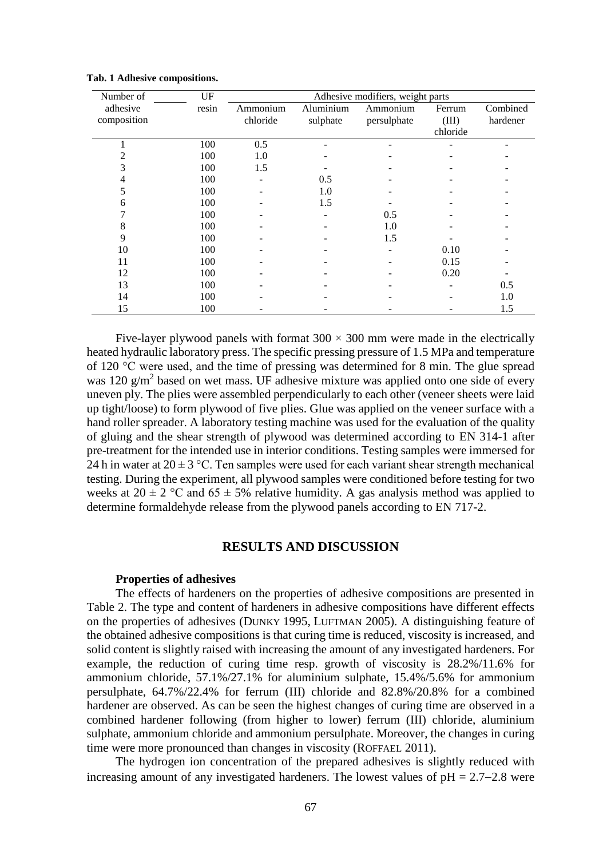| Number of   | UF    | Adhesive modifiers, weight parts |           |             |          |          |
|-------------|-------|----------------------------------|-----------|-------------|----------|----------|
| adhesive    | resin | Ammonium                         | Aluminium | Ammonium    | Ferrum   | Combined |
| composition |       | chloride                         | sulphate  | persulphate | (III)    | hardener |
|             |       |                                  |           |             | chloride |          |
|             | 100   | 0.5                              |           |             |          |          |
|             | 100   | 1.0                              |           |             |          |          |
|             | 100   | 1.5                              |           |             |          |          |
|             | 100   |                                  | 0.5       |             |          |          |
|             | 100   |                                  | 1.0       |             |          |          |
| 6           | 100   |                                  | 1.5       |             |          |          |
|             | 100   |                                  |           | 0.5         |          |          |
| 8           | 100   |                                  |           | 1.0         |          |          |
| 9           | 100   |                                  |           | 1.5         |          |          |
| 10          | 100   |                                  |           |             | 0.10     |          |
| 11          | 100   |                                  |           |             | 0.15     |          |
| 12          | 100   |                                  |           |             | 0.20     |          |
| 13          | 100   |                                  |           |             |          | 0.5      |
| 14          | 100   |                                  |           |             |          | 1.0      |
| 15          | 100   |                                  |           |             |          | 1.5      |

|  |  |  | Tab. 1 Adhesive compositions. |
|--|--|--|-------------------------------|
|--|--|--|-------------------------------|

Five-layer plywood panels with format  $300 \times 300$  mm were made in the electrically heated hydraulic laboratory press. The specific pressing pressure of 1.5 MPa and temperature of 120 °C were used, and the time of pressing was determined for 8 min. The glue spread was  $120 \text{ g/m}^2$  based on wet mass. UF adhesive mixture was applied onto one side of every uneven ply. The plies were assembled perpendicularly to each other (veneer sheets were laid up tight/loose) to form plywood of five plies. Glue was applied on the veneer surface with a hand roller spreader. A laboratory testing machine was used for the evaluation of the quality of gluing and the shear strength of plywood was determined according to EN 314-1 after pre-treatment for the intended use in interior conditions. Testing samples were immersed for 24 h in water at  $20 \pm 3$  °C. Ten samples were used for each variant shear strength mechanical testing. During the experiment, all plywood samples were conditioned before testing for two weeks at  $20 \pm 2$  °C and  $65 \pm 5$ % relative humidity. A gas analysis method was applied to determine formaldehyde release from the plywood panels according to EN 717-2.

## **RESULTS AND DISCUSSION**

#### **Properties of adhesives**

The effects of hardeners on the properties of adhesive compositions are presented in Table 2. The type and content of hardeners in adhesive compositions have different effects on the properties of adhesives (DUNKY 1995, LUFTMAN 2005). A distinguishing feature of the obtained adhesive compositions is that curing time is reduced, viscosity is increased, and solid content is slightly raised with increasing the amount of any investigated hardeners. For example, the reduction of curing time resp. growth of viscosity is 28.2%/11.6% for ammonium chloride, 57.1%/27.1% for aluminium sulphate, 15.4%/5.6% for ammonium persulphate, 64.7%/22.4% for ferrum (III) chloride and 82.8%/20.8% for a combined hardener are observed. As can be seen the highest changes of curing time are observed in a combined hardener following (from higher to lower) ferrum (III) chloride, aluminium sulphate, ammonium chloride and ammonium persulphate. Moreover, the changes in curing time were more pronounced than changes in viscosity (ROFFAEL 2011).

The hydrogen ion concentration of the prepared adhesives is slightly reduced with increasing amount of any investigated hardeners. The lowest values of  $pH = 2.7{\text -}2.8$  were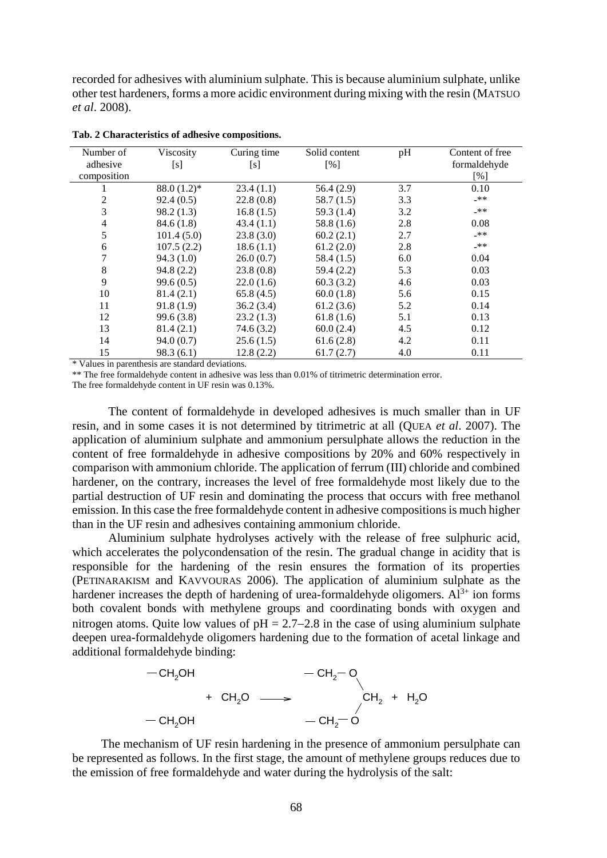recorded for adhesives with aluminium sulphate. This is because aluminium sulphate, unlike other test hardeners, forms a more acidic environment during mixing with the resin (MATSUO *et al*. 2008).

| Number of      | Viscosity     | Curing time | Solid content | pH  | Content of free |
|----------------|---------------|-------------|---------------|-----|-----------------|
| adhesive       | [s]           | [s]         | [%]           |     | formaldehyde    |
| composition    |               |             |               |     | [%]             |
|                | $88.0(1.2)$ * | 23.4(1.1)   | 56.4(2.9)     | 3.7 | 0.10            |
| 2              | 92.4(0.5)     | 22.8(0.8)   | 58.7(1.5)     | 3.3 | _**             |
| 3              | 98.2(1.3)     | 16.8(1.5)   | 59.3 $(1.4)$  | 3.2 | _**             |
| $\overline{4}$ | 84.6(1.8)     | 43.4(1.1)   | 58.8 $(1.6)$  | 2.8 | 0.08            |
| 5              | 101.4(5.0)    | 23.8(3.0)   | 60.2(2.1)     | 2.7 | _**             |
| 6              | 107.5(2.2)    | 18.6(1.1)   | 61.2(2.0)     | 2.8 | _**             |
| 7              | 94.3(1.0)     | 26.0(0.7)   | 58.4(1.5)     | 6.0 | 0.04            |
| 8              | 94.8(2.2)     | 23.8(0.8)   | 59.4(2.2)     | 5.3 | 0.03            |
| 9              | 99.6(0.5)     | 22.0(1.6)   | 60.3(3.2)     | 4.6 | 0.03            |
| 10             | 81.4(2.1)     | 65.8(4.5)   | 60.0(1.8)     | 5.6 | 0.15            |
| 11             | 91.8(1.9)     | 36.2(3.4)   | 61.2(3.6)     | 5.2 | 0.14            |
| 12             | 99.6 (3.8)    | 23.2(1.3)   | 61.8(1.6)     | 5.1 | 0.13            |
| 13             | 81.4(2.1)     | 74.6(3.2)   | 60.0(2.4)     | 4.5 | 0.12            |
| 14             | 94.0(0.7)     | 25.6(1.5)   | 61.6(2.8)     | 4.2 | 0.11            |
| 15             | 98.3(6.1)     | 12.8(2.2)   | 61.7(2.7)     | 4.0 | 0.11            |

**Tab. 2 Characteristics of adhesive compositions.**

\* Values in parenthesis are standard deviations.

\*\* The free formaldehyde content in adhesive was less than 0.01% of titrimetric determination error. The free formaldehyde content in UF resin was 0.13%.

The content of formaldehyde in developed adhesives is much smaller than in UF resin, and in some cases it is not determined by titrimetric at all (QUEA *et al*. 2007). The application of aluminium sulphate and ammonium persulphate allows the reduction in the content of free formaldehyde in adhesive compositions by 20% and 60% respectively in comparison with ammonium chloride. The application of ferrum (III) chloride and combined hardener, on the contrary, increases the level of free formaldehyde most likely due to the partial destruction of UF resin and dominating the process that occurs with free methanol emission. In this case the free formaldehyde content in adhesive compositions is much higher than in the UF resin and adhesives containing ammonium chloride.

Aluminium sulphate hydrolyses actively with the release of free sulphuric acid, which accelerates the polycondensation of the resin. The gradual change in acidity that is responsible for the hardening of the resin ensures the formation of its properties (PETINARAKISM and KAVVOURAS 2006). The application of aluminium sulphate as the hardener increases the depth of hardening of urea-formaldehyde oligomers.  $Al^{3+}$  ion forms both covalent bonds with methylene groups and coordinating bonds with oxygen and nitrogen atoms. Quite low values of  $pH = 2.7{\text -}2.8$  in the case of using aluminium sulphate deepen urea-formaldehyde oligomers hardening due to the formation of acetal linkage and additional formaldehyde binding:



The mechanism of UF resin hardening in the presence of ammonium persulphate can be represented as follows. In the first stage, the amount of methylene groups reduces due to the emission of free formaldehyde and water during the hydrolysis of the salt: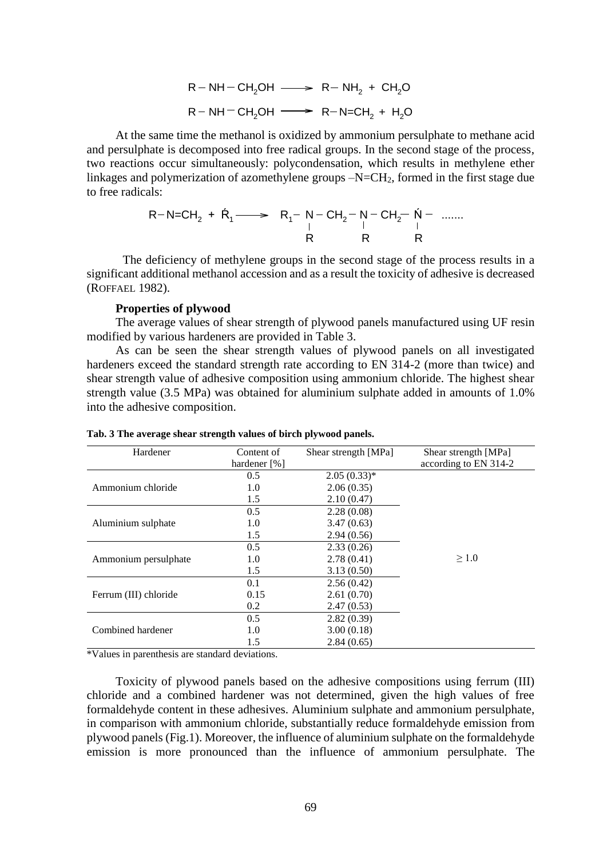$$
R - NH - CH2OH \longrightarrow R - NH2 + CH2O
$$
  

$$
R - NH - CH2OH \longrightarrow R - N = CH2 + H2O
$$

$$
R-N=CH_2 + \dot{R}_1 \longrightarrow R_1 - \text{ } R_1 - \text{ } CH_2 - \text{ } N - \text{ } CH_2 - \text{ } \dot{N} - \text{ } \dots \dots
$$
\n
$$
\begin{array}{ccc}\nR & R & R \\
R & R & R\n\end{array}
$$

#### **Properties of plywood**

|                                                                                                                          |                            | $R-NH-CH2OH \longrightarrow R-NH2 + CH2O$                                                                                                                     |                                                                                                                                                                                                                                                                                                                                                                                                                                                              |
|--------------------------------------------------------------------------------------------------------------------------|----------------------------|---------------------------------------------------------------------------------------------------------------------------------------------------------------|--------------------------------------------------------------------------------------------------------------------------------------------------------------------------------------------------------------------------------------------------------------------------------------------------------------------------------------------------------------------------------------------------------------------------------------------------------------|
|                                                                                                                          |                            | $R - NH - CH2OH \longrightarrow R - N = CH2 + H2O$                                                                                                            |                                                                                                                                                                                                                                                                                                                                                                                                                                                              |
| to free radicals:                                                                                                        |                            |                                                                                                                                                               | At the same time the methanol is oxidized by ammonium persulphate to methane acid<br>and persulphate is decomposed into free radical groups. In the second stage of the process,<br>two reactions occur simultaneously: polycondensation, which results in methylene ether<br>linkages and polymerization of azomethylene groups $-N=CH_2$ , formed in the first stage due                                                                                   |
|                                                                                                                          |                            | $R-N=CH_2 + \dot{R}_1 \longrightarrow R_1 - \begin{array}{ccc} N- \tilde{C}H_2 - N- \tilde{C}H_2 - \dot{N} - \dots \dots \ 1 &   &   \ R & R & R \end{array}$ |                                                                                                                                                                                                                                                                                                                                                                                                                                                              |
| (ROFFAEL 1982).                                                                                                          |                            |                                                                                                                                                               | The deficiency of methylene groups in the second stage of the process results in a<br>significant additional methanol accession and as a result the toxicity of adhesive is decreased                                                                                                                                                                                                                                                                        |
| <b>Properties of plywood</b><br>modified by various hardeners are provided in Table 3.<br>into the adhesive composition. |                            |                                                                                                                                                               | The average values of shear strength of plywood panels manufactured using UF resin<br>As can be seen the shear strength values of plywood panels on all investigated<br>hardeners exceed the standard strength rate according to EN 314-2 (more than twice) and<br>shear strength value of adhesive composition using ammonium chloride. The highest shear<br>strength value (3.5 MPa) was obtained for aluminium sulphate added in amounts of 1.0%          |
| Tab. 3 The average shear strength values of birch plywood panels.                                                        |                            |                                                                                                                                                               |                                                                                                                                                                                                                                                                                                                                                                                                                                                              |
| Hardener                                                                                                                 | Content of<br>hardener [%] | Shear strength [MPa]                                                                                                                                          | Shear strength [MPa]<br>according to EN 314-2                                                                                                                                                                                                                                                                                                                                                                                                                |
| Ammonium chloride                                                                                                        | 0.5<br>1.0<br>1.5<br>0.5   | $2.05(0.33)*$<br>2.06(0.35)<br>2.10(0.47)<br>2.28(0.08)                                                                                                       |                                                                                                                                                                                                                                                                                                                                                                                                                                                              |
| Aluminium sulphate                                                                                                       | $1.0\,$<br>1.5             | 3.47(0.63)<br>2.94(0.56)                                                                                                                                      |                                                                                                                                                                                                                                                                                                                                                                                                                                                              |
| Ammonium persulphate                                                                                                     | 0.5<br>1.0<br>1.5          | 2.33(0.26)<br>2.78(0.41)<br>3.13(0.50)                                                                                                                        | $\geq 1.0$                                                                                                                                                                                                                                                                                                                                                                                                                                                   |
| Ferrum (III) chloride                                                                                                    | 0.1<br>0.15<br>0.2         | 2.56(0.42)<br>2.61(0.70)<br>2.47(0.53)                                                                                                                        |                                                                                                                                                                                                                                                                                                                                                                                                                                                              |
| Combined hardener                                                                                                        | 0.5<br>1.0<br>1.5          | 2.82(0.39)<br>3.00(0.18)<br>2.84(0.65)                                                                                                                        |                                                                                                                                                                                                                                                                                                                                                                                                                                                              |
| *Values in parenthesis are standard deviations.                                                                          |                            |                                                                                                                                                               |                                                                                                                                                                                                                                                                                                                                                                                                                                                              |
| emission is more pronounced than the influence of ammonium persulphate.                                                  |                            |                                                                                                                                                               | Toxicity of plywood panels based on the adhesive compositions using ferrum (III)<br>chloride and a combined hardener was not determined, given the high values of free<br>formaldehyde content in these adhesives. Aluminium sulphate and ammonium persulphate,<br>in comparison with ammonium chloride, substantially reduce formaldehyde emission from<br>plywood panels (Fig.1). Moreover, the influence of aluminium sulphate on the formaldehyde<br>The |
|                                                                                                                          |                            | 69                                                                                                                                                            |                                                                                                                                                                                                                                                                                                                                                                                                                                                              |

**Tab. 3 The average shear strength values of birch plywood panels.**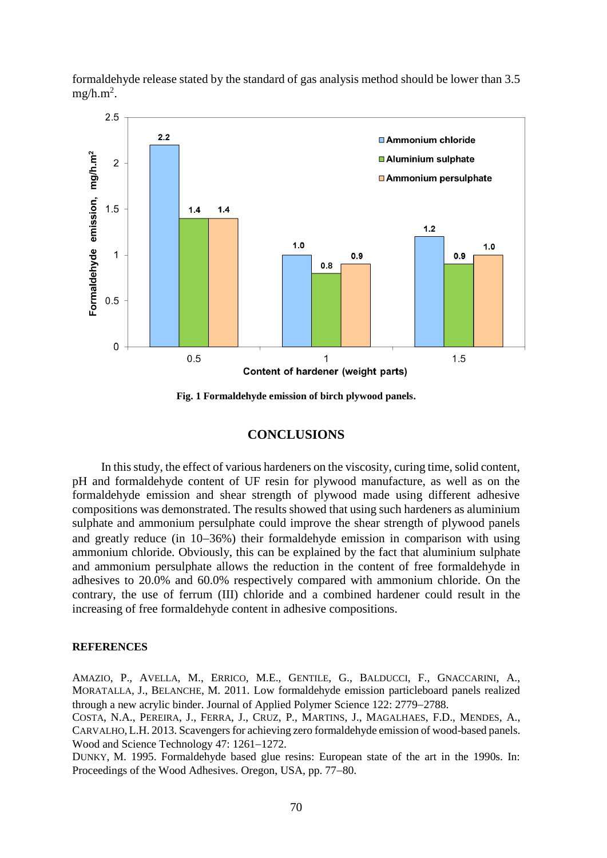formaldehyde release stated by the standard of gas analysis method should be lower than 3.5  $mg/h.m^2$ .



**Fig. 1 Formaldehyde emission of birch plywood panels.**

# **CONCLUSIONS**

In this study, the effect of various hardeners on the viscosity, curing time, solid content, pH and formaldehyde content of UF resin for plywood manufacture, as well as on the formaldehyde emission and shear strength of plywood made using different adhesive compositions was demonstrated. The results showed that using such hardeners as aluminium sulphate and ammonium persulphate could improve the shear strength of plywood panels and greatly reduce (in  $10-36\%$ ) their formaldehyde emission in comparison with using ammonium chloride. Obviously, this can be explained by the fact that aluminium sulphate and ammonium persulphate allows the reduction in the content of free formaldehyde in adhesives to 20.0% and 60.0% respectively compared with ammonium chloride. On the contrary, the use of ferrum (III) chloride and a combined hardener could result in the increasing of free formaldehyde content in adhesive compositions.

#### **REFERENCES**

AMAZIO, P., AVELLA, M., ERRICO, M.E., GENTILE, G., BALDUCCI, F., GNACCARINI, A., MORATALLA, J., BELANCHE, M. 2011. Low formaldehyde emission particleboard panels realized through a new acrylic binder. Journal of Applied Polymer Science 122: 2779–2788.

COSTA, N.A., PEREIRA, J., FERRA, J., CRUZ, P., MARTINS, J., MAGALHAES, F.D., MENDES, A., CARVALHO,L.H. 2013. Scavengers for achieving zero formaldehyde emission of wood-based panels. Wood and Science Technology  $47: 1261-1272$ .

DUNKY, M. 1995. Formaldehyde based glue resins: European state of the art in the 1990s. In: Proceedings of the Wood Adhesives. Oregon, USA, pp. 77–80.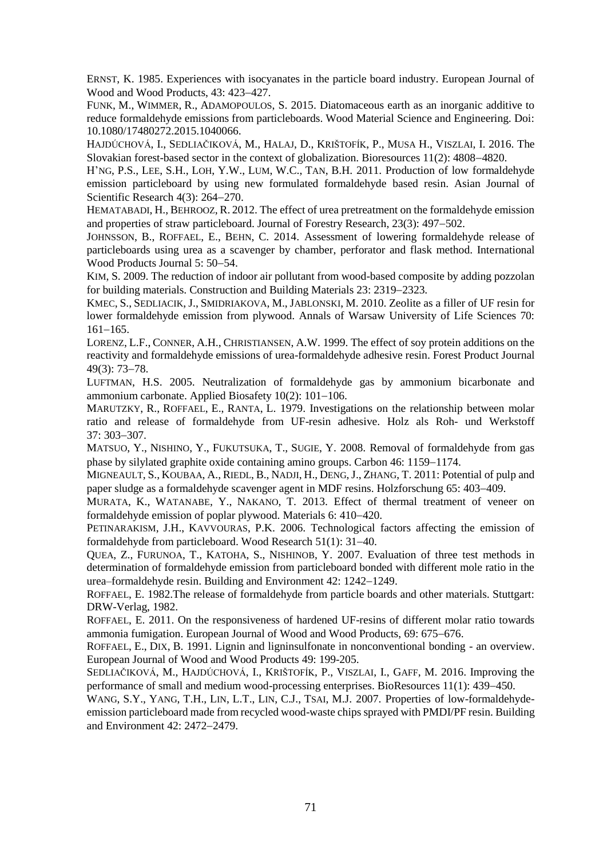ERNST, K. 1985. Experiences with isocyanates in the particle board industry. European Journal of Wood and Wood Products, 43: 423-427.

FUNK, M., WIMMER, R., ADAMOPOULOS, S. 2015. Diatomaceous earth as an inorganic additive to reduce formaldehyde emissions from particleboards. Wood Material Science and Engineering. Doi: 10.1080/17480272.2015.1040066.

HAJDÚCHOVÁ, I., SEDLIAČIKOVÁ, M., HALAJ, D., KRIŠTOFÍK, P., MUSA H., VISZLAI, I. 2016. The Slovakian forest-based sector in the context of globalization. Bioresources  $11(2)$ :  $4808-4820$ .

H'NG, P.S., LEE, S.H., LOH, Y.W., LUM, W.C., TAN, B.H. 2011. Production of low formaldehyde emission particleboard by using new formulated formaldehyde based resin. Asian Journal of Scientific Research  $4(3)$ : 264–270.

HEMATABADI, H., BEHROOZ, R. 2012. The effect of urea pretreatment on the formaldehyde emission and properties of straw particleboard. Journal of Forestry Research, 23(3): 497–502.

JOHNSSON, B., ROFFAEL, E., BEHN, C. 2014. Assessment of lowering formaldehyde release of particleboards using urea as a scavenger by chamber, perforator and flask method. International Wood Products Journal 5: 50–54.

KIM, S. 2009. The reduction of indoor air pollutant from wood-based composite by adding pozzolan for building materials. Construction and Building Materials 23: 2319–2323.

KMEC, S., SEDLIACIK, J., SMIDRIAKOVA, M.,JABLONSKI, M. 2010. Zeolite as a filler of UF resin for lower formaldehyde emission from plywood. Annals of Warsaw University of Life Sciences 70:  $161 - 165.$ 

LORENZ, L.F., CONNER, A.H., CHRISTIANSEN, A.W. 1999. The effect of soy protein additions on the reactivity and formaldehyde emissions of urea-formaldehyde adhesive resin. Forest Product Journal  $49(3)$ : 73-78.

LUFTMAN, H.S. 2005. Neutralization of formaldehyde gas by ammonium bicarbonate and ammonium carbonate. Applied Biosafety  $10(2)$ :  $101-106$ .

MARUTZKY, R., ROFFAEL, E., RANTA, L. 1979. Investigations on the relationship between molar ratio and release of formaldehyde from UF-resin adhesive. Holz als Roh- und Werkstoff  $37:303 - 307$ .

MATSUO, Y., NISHINO, Y., FUKUTSUKA, T., SUGIE, Y. 2008. Removal of formaldehyde from gas phase by silylated graphite oxide containing amino groups. Carbon 46: 1159–1174.

MIGNEAULT, S., KOUBAA, A., RIEDL, B., NADJI, H., DENG,J., ZHANG, T. 2011: Potential of pulp and paper sludge as a formaldehyde scavenger agent in MDF resins. Holzforschung 65: 403–409.

MURATA, K., WATANABE, Y., NAKANO, T. 2013. Effect of thermal treatment of veneer on formaldehyde emission of poplar plywood. Materials 6: 410–420.

PETINARAKISM, J.H., KAVVOURAS, P.K. 2006. Technological factors affecting the emission of formaldehyde from particleboard. Wood Research  $51(1)$ : 31–40.

QUEA, Z., FURUNOA, T., KATOHA, S., NISHINOB, Y. 2007. Evaluation of three test methods in determination of formaldehyde emission from particleboard bonded with different mole ratio in the urea–formaldehyde resin. Building and Environment 42: 1242–1249.

ROFFAEL, E. 1982.The release of formaldehyde from particle boards and other materials. Stuttgart: DRW-Verlag, 1982.

ROFFAEL, E. 2011. On the responsiveness of hardened UF-resins of different molar ratio towards ammonia fumigation. European Journal of Wood and Wood Products, 69: 675–676.

ROFFAEL, E., DIX, B. 1991. Lignin and ligninsulfonate in nonconventional bonding - an overview. European Journal of Wood and Wood Products 49: 199-205.

SEDLIAČIKOVÁ, M., HAJDÚCHOVÁ, I., KRIŠTOFÍK, P., VISZLAI, I., GAFF, M. 2016. Improving the performance of small and medium wood-processing enterprises. BioResources 11(1): 439–450.

WANG, S.Y., YANG, T.H., LIN, L.T., LIN, C.J., TSAI, M.J. 2007. Properties of low-formaldehydeemission particleboard made from recycled wood-waste chips sprayed with PMDI/PF resin. Building and Environment 42: 2472–2479.